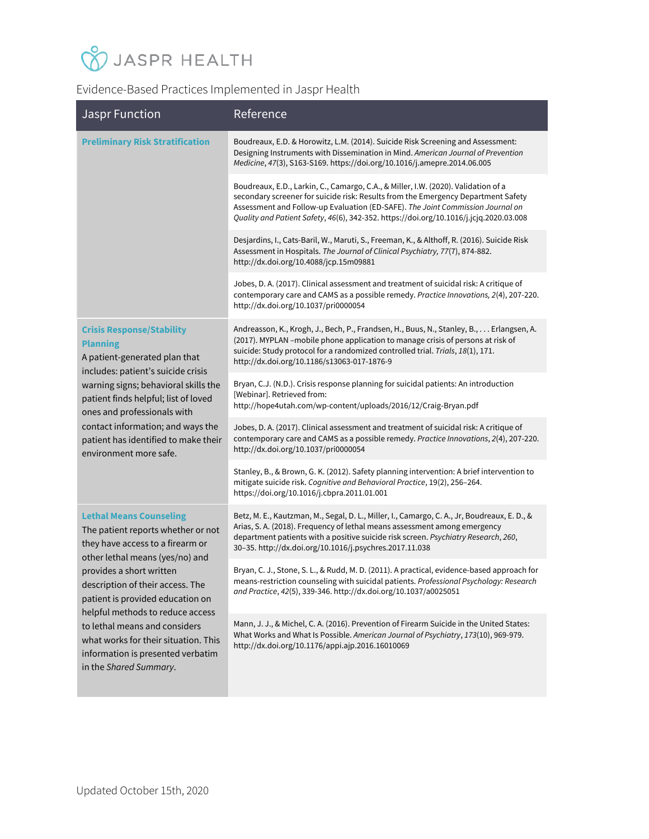# **V** JASPR HEALTH

#### Evidence-Based Practices Implemented in Jaspr Health

| <b>Jaspr Function</b>                                                                                                                                                                                                                                                                                                                                                                                                       | Reference                                                                                                                                                                                                                                                                                                                                           |
|-----------------------------------------------------------------------------------------------------------------------------------------------------------------------------------------------------------------------------------------------------------------------------------------------------------------------------------------------------------------------------------------------------------------------------|-----------------------------------------------------------------------------------------------------------------------------------------------------------------------------------------------------------------------------------------------------------------------------------------------------------------------------------------------------|
| <b>Preliminary Risk Stratification</b>                                                                                                                                                                                                                                                                                                                                                                                      | Boudreaux, E.D. & Horowitz, L.M. (2014). Suicide Risk Screening and Assessment:<br>Designing Instruments with Dissemination in Mind. American Journal of Prevention<br>Medicine, 47(3), S163-S169. https://doi.org/10.1016/j.amepre.2014.06.005                                                                                                     |
|                                                                                                                                                                                                                                                                                                                                                                                                                             | Boudreaux, E.D., Larkin, C., Camargo, C.A., & Miller, I.W. (2020). Validation of a<br>secondary screener for suicide risk: Results from the Emergency Department Safety<br>Assessment and Follow-up Evaluation (ED-SAFE). The Joint Commission Journal on<br>Quality and Patient Safety, 46(6), 342-352. https://doi.org/10.1016/j.jcjq.2020.03.008 |
|                                                                                                                                                                                                                                                                                                                                                                                                                             | Desjardins, I., Cats-Baril, W., Maruti, S., Freeman, K., & Althoff, R. (2016). Suicide Risk<br>Assessment in Hospitals. The Journal of Clinical Psychiatry, 77(7), 874-882.<br>http://dx.doi.org/10.4088/jcp.15m09881                                                                                                                               |
|                                                                                                                                                                                                                                                                                                                                                                                                                             | Jobes, D. A. (2017). Clinical assessment and treatment of suicidal risk: A critique of<br>contemporary care and CAMS as a possible remedy. Practice Innovations, 2(4), 207-220.<br>http://dx.doi.org/10.1037/pri0000054                                                                                                                             |
| <b>Crisis Response/Stability</b><br><b>Planning</b><br>A patient-generated plan that<br>includes: patient's suicide crisis<br>warning signs; behavioral skills the<br>patient finds helpful; list of loved<br>ones and professionals with<br>contact information; and ways the<br>patient has identified to make their<br>environment more safe.                                                                            | Andreasson, K., Krogh, J., Bech, P., Frandsen, H., Buus, N., Stanley, B., Erlangsen, A.<br>(2017). MYPLAN -mobile phone application to manage crisis of persons at risk of<br>suicide: Study protocol for a randomized controlled trial. Trials, 18(1), 171.<br>http://dx.doi.org/10.1186/s13063-017-1876-9                                         |
|                                                                                                                                                                                                                                                                                                                                                                                                                             | Bryan, C.J. (N.D.). Crisis response planning for suicidal patients: An introduction<br>[Webinar]. Retrieved from:<br>http://hope4utah.com/wp-content/uploads/2016/12/Craig-Bryan.pdf                                                                                                                                                                |
|                                                                                                                                                                                                                                                                                                                                                                                                                             | Jobes, D. A. (2017). Clinical assessment and treatment of suicidal risk: A critique of<br>contemporary care and CAMS as a possible remedy. Practice Innovations, 2(4), 207-220.<br>http://dx.doi.org/10.1037/pri0000054                                                                                                                             |
|                                                                                                                                                                                                                                                                                                                                                                                                                             | Stanley, B., & Brown, G. K. (2012). Safety planning intervention: A brief intervention to<br>mitigate suicide risk. Cognitive and Behavioral Practice, 19(2), 256-264.<br>https://doi.org/10.1016/j.cbpra.2011.01.001                                                                                                                               |
| <b>Lethal Means Counseling</b><br>The patient reports whether or not<br>they have access to a firearm or<br>other lethal means (yes/no) and<br>provides a short written<br>description of their access. The<br>patient is provided education on<br>helpful methods to reduce access<br>to lethal means and considers<br>what works for their situation. This<br>information is presented verbatim<br>in the Shared Summary. | Betz, M. E., Kautzman, M., Segal, D. L., Miller, I., Camargo, C. A., Jr, Boudreaux, E. D., &<br>Arias, S. A. (2018). Frequency of lethal means assessment among emergency<br>department patients with a positive suicide risk screen. Psychiatry Research, 260,<br>30-35. http://dx.doi.org/10.1016/j.psychres.2017.11.038                          |
|                                                                                                                                                                                                                                                                                                                                                                                                                             | Bryan, C. J., Stone, S. L., & Rudd, M. D. (2011). A practical, evidence-based approach for<br>means-restriction counseling with suicidal patients. Professional Psychology: Research<br>and Practice, 42(5), 339-346. http://dx.doi.org/10.1037/a0025051                                                                                            |
|                                                                                                                                                                                                                                                                                                                                                                                                                             | Mann, J. J., & Michel, C. A. (2016). Prevention of Firearm Suicide in the United States:<br>What Works and What Is Possible. American Journal of Psychiatry, 173(10), 969-979.<br>http://dx.doi.org/10.1176/appi.ajp.2016.16010069                                                                                                                  |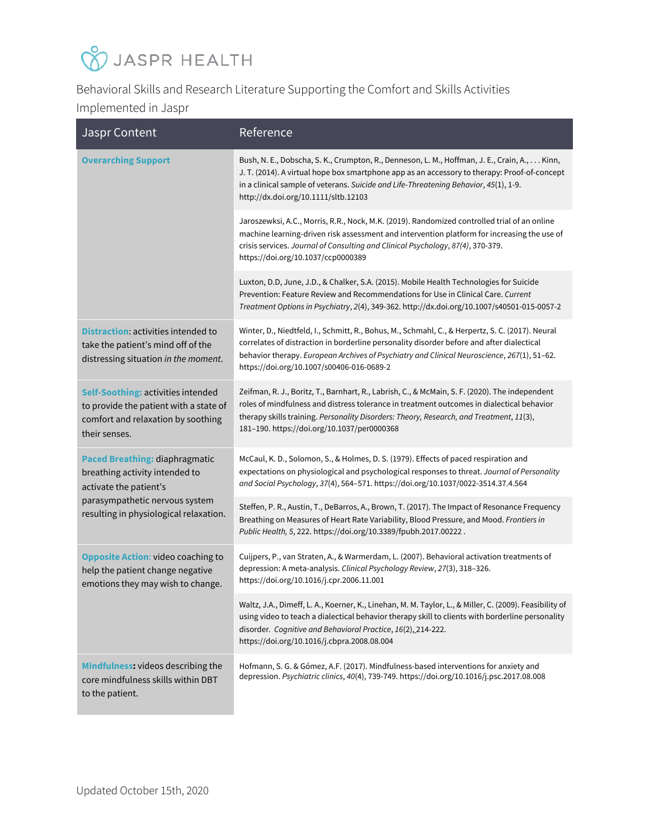## **V** JASPR HEALTH

Behavioral Skills and Research Literature Supporting the Comfort and Skills Activities Implemented in Jaspr

| <b>Jaspr Content</b>                                                                                                                                                          | Reference                                                                                                                                                                                                                                                                                                                                 |
|-------------------------------------------------------------------------------------------------------------------------------------------------------------------------------|-------------------------------------------------------------------------------------------------------------------------------------------------------------------------------------------------------------------------------------------------------------------------------------------------------------------------------------------|
| <b>Overarching Support</b>                                                                                                                                                    | Bush, N. E., Dobscha, S. K., Crumpton, R., Denneson, L. M., Hoffman, J. E., Crain, A., Kinn,<br>J. T. (2014). A virtual hope box smartphone app as an accessory to therapy: Proof-of-concept<br>in a clinical sample of veterans. Suicide and Life-Threatening Behavior, 45(1), 1-9.<br>http://dx.doi.org/10.1111/sltb.12103              |
|                                                                                                                                                                               | Jaroszewksi, A.C., Morris, R.R., Nock, M.K. (2019). Randomized controlled trial of an online<br>machine learning-driven risk assessment and intervention platform for increasing the use of<br>crisis services. Journal of Consulting and Clinical Psychology, 87(4), 370-379.<br>https://doi.org/10.1037/ccp0000389                      |
|                                                                                                                                                                               | Luxton, D.D, June, J.D., & Chalker, S.A. (2015). Mobile Health Technologies for Suicide<br>Prevention: Feature Review and Recommendations for Use in Clinical Care. Current<br>Treatment Options in Psychiatry, 2(4), 349-362. http://dx.doi.org/10.1007/s40501-015-0057-2                                                                |
| <b>Distraction: activities intended to</b><br>take the patient's mind off of the<br>distressing situation in the moment.                                                      | Winter, D., Niedtfeld, I., Schmitt, R., Bohus, M., Schmahl, C., & Herpertz, S. C. (2017). Neural<br>correlates of distraction in borderline personality disorder before and after dialectical<br>behavior therapy. European Archives of Psychiatry and Clinical Neuroscience, 267(1), 51-62.<br>https://doi.org/10.1007/s00406-016-0689-2 |
| Self-Soothing: activities intended<br>to provide the patient with a state of<br>comfort and relaxation by soothing<br>their senses.                                           | Zeifman, R. J., Boritz, T., Barnhart, R., Labrish, C., & McMain, S. F. (2020). The independent<br>roles of mindfulness and distress tolerance in treatment outcomes in dialectical behavior<br>therapy skills training. Personality Disorders: Theory, Research, and Treatment, 11(3),<br>181-190. https://doi.org/10.1037/per0000368     |
| <b>Paced Breathing: diaphragmatic</b><br>breathing activity intended to<br>activate the patient's<br>parasympathetic nervous system<br>resulting in physiological relaxation. | McCaul, K. D., Solomon, S., & Holmes, D. S. (1979). Effects of paced respiration and<br>expectations on physiological and psychological responses to threat. Journal of Personality<br>and Social Psychology, 37(4), 564-571. https://doi.org/10.1037/0022-3514.37.4.564                                                                  |
|                                                                                                                                                                               | Steffen, P. R., Austin, T., DeBarros, A., Brown, T. (2017). The Impact of Resonance Frequency<br>Breathing on Measures of Heart Rate Variability, Blood Pressure, and Mood. Frontiers in<br>Public Health, 5, 222. https://doi.org/10.3389/fpubh.2017.00222.                                                                              |
| <b>Opposite Action: video coaching to</b><br>help the patient change negative<br>emotions they may wish to change.                                                            | Cuijpers, P., van Straten, A., & Warmerdam, L. (2007). Behavioral activation treatments of<br>depression: A meta-analysis. Clinical Psychology Review, 27(3), 318-326.<br>https://doi.org/10.1016/j.cpr.2006.11.001                                                                                                                       |
|                                                                                                                                                                               | Waltz, J.A., Dimeff, L. A., Koerner, K., Linehan, M. M. Taylor, L., & Miller, C. (2009). Feasibility of<br>using video to teach a dialectical behavior therapy skill to clients with borderline personality<br>disorder. Cognitive and Behavioral Practice, 16(2), 214-222.<br>https://doi.org/10.1016/j.cbpra.2008.08.004                |
| Mindfulness: videos describing the<br>core mindfulness skills within DBT<br>to the patient.                                                                                   | Hofmann, S. G. & Gómez, A.F. (2017). Mindfulness-based interventions for anxiety and<br>depression. Psychiatric clinics, 40(4), 739-749. https://doi.org/10.1016/j.psc.2017.08.008                                                                                                                                                        |